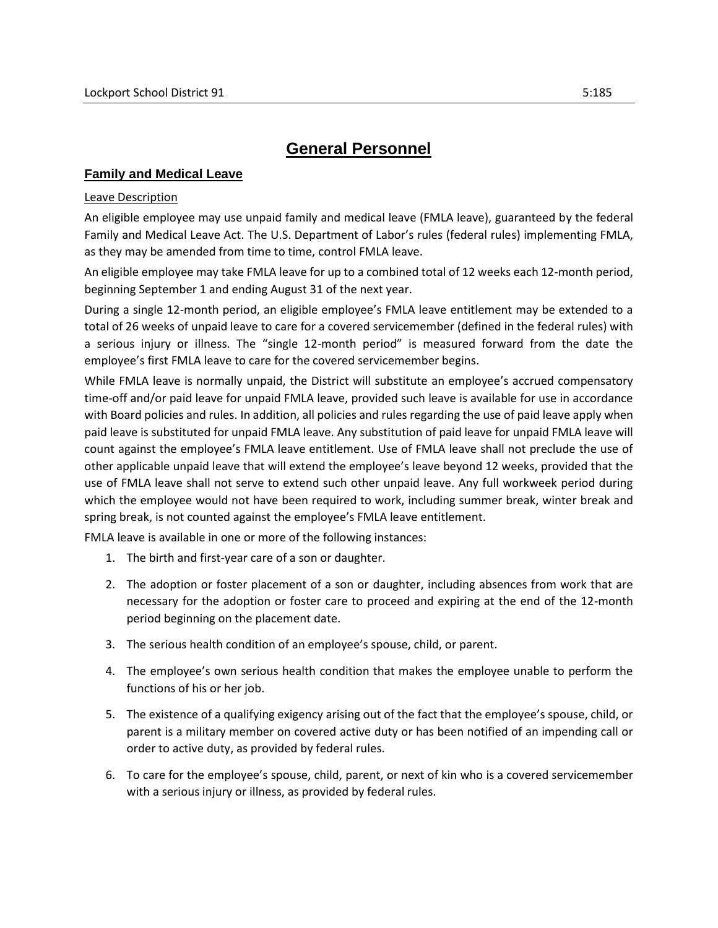# **General Personnel**

## **Family and Medical Leave**

## Leave Description

An eligible employee may use unpaid family and medical leave (FMLA leave), guaranteed by the federal Family and Medical Leave Act. The U.S. Department of Labor's rules (federal rules) implementing FMLA, as they may be amended from time to time, control FMLA leave.

An eligible employee may take FMLA leave for up to a combined total of 12 weeks each 12-month period, beginning September 1 and ending August 31 of the next year.

During a single 12-month period, an eligible employee's FMLA leave entitlement may be extended to a total of 26 weeks of unpaid leave to care for a covered servicemember (defined in the federal rules) with a serious injury or illness. The "single 12-month period" is measured forward from the date the employee's first FMLA leave to care for the covered servicemember begins.

While FMLA leave is normally unpaid, the District will substitute an employee's accrued compensatory time-off and/or paid leave for unpaid FMLA leave, provided such leave is available for use in accordance with Board policies and rules. In addition, all policies and rules regarding the use of paid leave apply when paid leave is substituted for unpaid FMLA leave. Any substitution of paid leave for unpaid FMLA leave will count against the employee's FMLA leave entitlement. Use of FMLA leave shall not preclude the use of other applicable unpaid leave that will extend the employee's leave beyond 12 weeks, provided that the use of FMLA leave shall not serve to extend such other unpaid leave. Any full workweek period during which the employee would not have been required to work, including summer break, winter break and spring break, is not counted against the employee's FMLA leave entitlement.

FMLA leave is available in one or more of the following instances:

- 1. The birth and first-year care of a son or daughter.
- 2. The adoption or foster placement of a son or daughter, including absences from work that are necessary for the adoption or foster care to proceed and expiring at the end of the 12-month period beginning on the placement date.
- 3. The serious health condition of an employee's spouse, child, or parent.
- 4. The employee's own serious health condition that makes the employee unable to perform the functions of his or her job.
- 5. The existence of a qualifying exigency arising out of the fact that the employee's spouse, child, or parent is a military member on covered active duty or has been notified of an impending call or order to active duty, as provided by federal rules.
- 6. To care for the employee's spouse, child, parent, or next of kin who is a covered servicemember with a serious injury or illness, as provided by federal rules.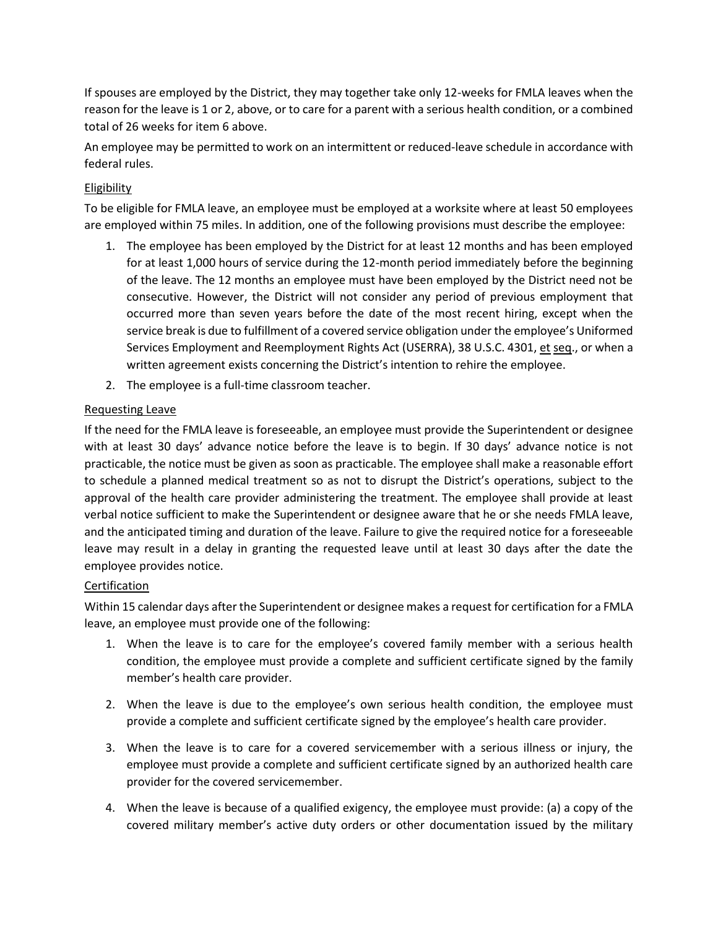If spouses are employed by the District, they may together take only 12-weeks for FMLA leaves when the reason for the leave is 1 or 2, above, or to care for a parent with a serious health condition, or a combined total of 26 weeks for item 6 above.

An employee may be permitted to work on an intermittent or reduced-leave schedule in accordance with federal rules.

## Eligibility

To be eligible for FMLA leave, an employee must be employed at a worksite where at least 50 employees are employed within 75 miles. In addition, one of the following provisions must describe the employee:

- 1. The employee has been employed by the District for at least 12 months and has been employed for at least 1,000 hours of service during the 12-month period immediately before the beginning of the leave. The 12 months an employee must have been employed by the District need not be consecutive. However, the District will not consider any period of previous employment that occurred more than seven years before the date of the most recent hiring, except when the service break is due to fulfillment of a covered service obligation under the employee's Uniformed Services Employment and Reemployment Rights Act (USERRA), 38 U.S.C. 4301, et seq., or when a written agreement exists concerning the District's intention to rehire the employee.
- 2. The employee is a full-time classroom teacher.

## Requesting Leave

If the need for the FMLA leave is foreseeable, an employee must provide the Superintendent or designee with at least 30 days' advance notice before the leave is to begin. If 30 days' advance notice is not practicable, the notice must be given as soon as practicable. The employee shall make a reasonable effort to schedule a planned medical treatment so as not to disrupt the District's operations, subject to the approval of the health care provider administering the treatment. The employee shall provide at least verbal notice sufficient to make the Superintendent or designee aware that he or she needs FMLA leave, and the anticipated timing and duration of the leave. Failure to give the required notice for a foreseeable leave may result in a delay in granting the requested leave until at least 30 days after the date the employee provides notice.

## **Certification**

Within 15 calendar days after the Superintendent or designee makes a request for certification for a FMLA leave, an employee must provide one of the following:

- 1. When the leave is to care for the employee's covered family member with a serious health condition, the employee must provide a complete and sufficient certificate signed by the family member's health care provider.
- 2. When the leave is due to the employee's own serious health condition, the employee must provide a complete and sufficient certificate signed by the employee's health care provider.
- 3. When the leave is to care for a covered servicemember with a serious illness or injury, the employee must provide a complete and sufficient certificate signed by an authorized health care provider for the covered servicemember.
- 4. When the leave is because of a qualified exigency, the employee must provide: (a) a copy of the covered military member's active duty orders or other documentation issued by the military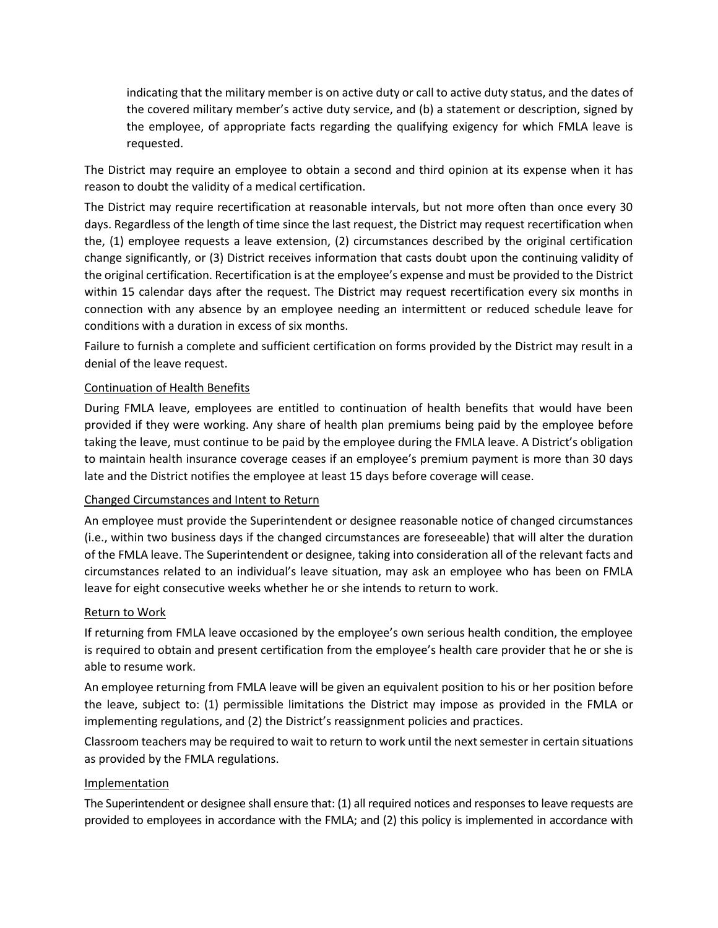indicating that the military member is on active duty or call to active duty status, and the dates of the covered military member's active duty service, and (b) a statement or description, signed by the employee, of appropriate facts regarding the qualifying exigency for which FMLA leave is requested.

The District may require an employee to obtain a second and third opinion at its expense when it has reason to doubt the validity of a medical certification.

The District may require recertification at reasonable intervals, but not more often than once every 30 days. Regardless of the length of time since the last request, the District may request recertification when the, (1) employee requests a leave extension, (2) circumstances described by the original certification change significantly, or (3) District receives information that casts doubt upon the continuing validity of the original certification. Recertification is at the employee's expense and must be provided to the District within 15 calendar days after the request. The District may request recertification every six months in connection with any absence by an employee needing an intermittent or reduced schedule leave for conditions with a duration in excess of six months.

Failure to furnish a complete and sufficient certification on forms provided by the District may result in a denial of the leave request.

## Continuation of Health Benefits

During FMLA leave, employees are entitled to continuation of health benefits that would have been provided if they were working. Any share of health plan premiums being paid by the employee before taking the leave, must continue to be paid by the employee during the FMLA leave. A District's obligation to maintain health insurance coverage ceases if an employee's premium payment is more than 30 days late and the District notifies the employee at least 15 days before coverage will cease.

## Changed Circumstances and Intent to Return

An employee must provide the Superintendent or designee reasonable notice of changed circumstances (i.e., within two business days if the changed circumstances are foreseeable) that will alter the duration of the FMLA leave. The Superintendent or designee, taking into consideration all of the relevant facts and circumstances related to an individual's leave situation, may ask an employee who has been on FMLA leave for eight consecutive weeks whether he or she intends to return to work.

## Return to Work

If returning from FMLA leave occasioned by the employee's own serious health condition, the employee is required to obtain and present certification from the employee's health care provider that he or she is able to resume work.

An employee returning from FMLA leave will be given an equivalent position to his or her position before the leave, subject to: (1) permissible limitations the District may impose as provided in the FMLA or implementing regulations, and (2) the District's reassignment policies and practices.

Classroom teachers may be required to wait to return to work until the next semester in certain situations as provided by the FMLA regulations.

## Implementation

The Superintendent or designee shall ensure that: (1) all required notices and responses to leave requests are provided to employees in accordance with the FMLA; and (2) this policy is implemented in accordance with